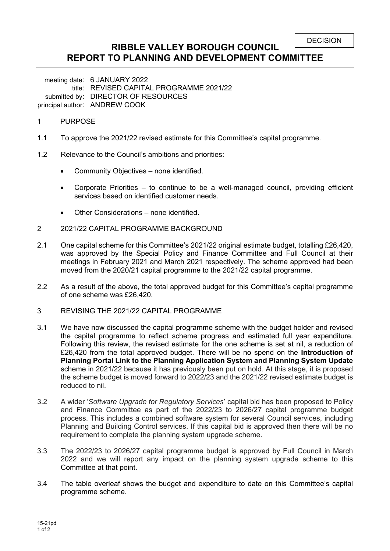# **RIBBLE VALLEY BOROUGH COUNCIL REPORT TO PLANNING AND DEVELOPMENT COMMITTEE**

meeting date: 6 JANUARY 2022 title: REVISED CAPITAL PROGRAMME 2021/22 submitted by: DIRECTOR OF RESOURCES principal author: ANDREW COOK

#### 1 PURPOSE

- 1.1 To approve the 2021/22 revised estimate for this Committee's capital programme.
- 1.2 Relevance to the Council's ambitions and priorities:
	- Community Objectives none identified.
	- Corporate Priorities to continue to be a well-managed council, providing efficient services based on identified customer needs.
	- Other Considerations none identified.
- 2 2021/22 CAPITAL PROGRAMME BACKGROUND
- 2.1 One capital scheme for this Committee's 2021/22 original estimate budget, totalling £26,420, was approved by the Special Policy and Finance Committee and Full Council at their meetings in February 2021 and March 2021 respectively. The scheme approved had been moved from the 2020/21 capital programme to the 2021/22 capital programme.
- 2.2 As a result of the above, the total approved budget for this Committee's capital programme of one scheme was £26,420.
- 3 REVISING THE 2021/22 CAPITAL PROGRAMME
- 3.1 We have now discussed the capital programme scheme with the budget holder and revised the capital programme to reflect scheme progress and estimated full year expenditure. Following this review, the revised estimate for the one scheme is set at nil, a reduction of £26,420 from the total approved budget. There will be no spend on the **Introduction of Planning Portal Link to the Planning Application System and Planning System Update**  scheme in 2021/22 because it has previously been put on hold. At this stage, it is proposed the scheme budget is moved forward to 2022/23 and the 2021/22 revised estimate budget is reduced to nil.
- 3.2 A wider '*Software Upgrade for Regulatory Services*' capital bid has been proposed to Policy and Finance Committee as part of the 2022/23 to 2026/27 capital programme budget process. This includes a combined software system for several Council services, including Planning and Building Control services. If this capital bid is approved then there will be no requirement to complete the planning system upgrade scheme.
- 3.3 The 2022/23 to 2026/27 capital programme budget is approved by Full Council in March 2022 and we will report any impact on the planning system upgrade scheme to this Committee at that point.
- 3.4 The table overleaf shows the budget and expenditure to date on this Committee's capital programme scheme.